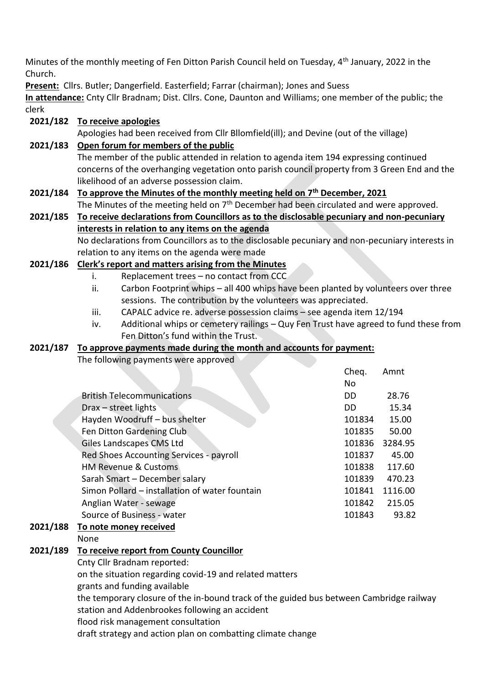Minutes of the monthly meeting of Fen Ditton Parish Council held on Tuesday, 4<sup>th</sup> January, 2022 in the Church.

**Present:** Cllrs. Butler; Dangerfield. Easterfield; Farrar (chairman); Jones and Suess

**In attendance:** Cnty Cllr Bradnam; Dist. Cllrs. Cone, Daunton and Williams; one member of the public; the clerk

#### **2021/182 To receive apologies**

Apologies had been received from Cllr Bllomfield(ill); and Devine (out of the village)

#### **2021/183 Open forum for members of the public**

The member of the public attended in relation to agenda item 194 expressing continued concerns of the overhanging vegetation onto parish council property from 3 Green End and the likelihood of an adverse possession claim.

# **2021/184 To approve the Minutes of the monthly meeting held on 7th December, 2021**

The Minutes of the meeting held on  $7<sup>th</sup>$  December had been circulated and were approved. **2021/185 To receive declarations from Councillors as to the disclosable pecuniary and non-pecuniary** 

# **interests in relation to any items on the agenda**

No declarations from Councillors as to the disclosable pecuniary and non-pecuniary interests in relation to any items on the agenda were made

### **2021/186 Clerk's report and matters arising from the Minutes**

- i. Replacement trees no contact from CCC
- ii. Carbon Footprint whips all 400 whips have been planted by volunteers over three sessions. The contribution by the volunteers was appreciated.
- iii. CAPALC advice re. adverse possession claims see agenda item 12/194
- iv. Additional whips or cemetery railings Quy Fen Trust have agreed to fund these from Fen Ditton's fund within the Trust.

### **2021/187 To approve payments made during the month and accounts for payment:**

The following payments were approved

|                                                | Cheq.  | Amnt    |
|------------------------------------------------|--------|---------|
|                                                | No     |         |
| <b>British Telecommunications</b>              | DD     | 28.76   |
| Drax – street lights                           | DD.    | 15.34   |
| Hayden Woodruff - bus shelter                  | 101834 | 15.00   |
| Fen Ditton Gardening Club                      | 101835 | 50.00   |
| Giles Landscapes CMS Ltd                       | 101836 | 3284.95 |
| Red Shoes Accounting Services - payroll        | 101837 | 45.00   |
| <b>HM Revenue &amp; Customs</b>                | 101838 | 117.60  |
| Sarah Smart - December salary                  | 101839 | 470.23  |
| Simon Pollard – installation of water fountain | 101841 | 1116.00 |
| Anglian Water - sewage                         | 101842 | 215.05  |
| Source of Business - water                     | 101843 | 93.82   |
| To note money received                         |        |         |
| None                                           |        |         |

# **2021/188 To note money received**

#### **2021/189 To receive report from County Councillor**

Cnty Cllr Bradnam reported:

on the situation regarding covid-19 and related matters

grants and funding available

the temporary closure of the in-bound track of the guided bus between Cambridge railway station and Addenbrookes following an accident

flood risk management consultation

draft strategy and action plan on combatting climate change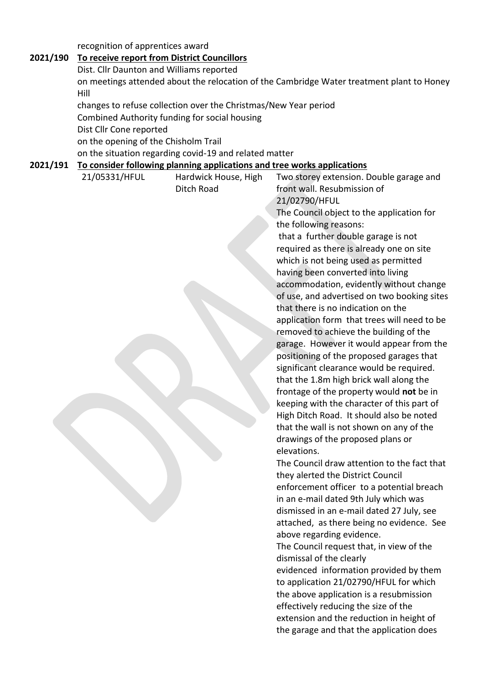recognition of apprentices award

#### **2021/190 To receive report from District Councillors** Dist. Cllr Daunton and Williams reported on meetings attended about the relocation of the Cambridge Water treatment plant to Honey Hill changes to refuse collection over the Christmas/New Year period Combined Authority funding for social housing Dist Cllr Cone reported on the opening of the Chisholm Trail on the situation regarding covid-19 and related matter **2021/191 To consider following planning applications and tree works applications** 21/05331/HFUL Hardwick House, High Ditch Road Two storey extension. Double garage and front wall. Resubmission of 21/02790/HFUL The Council object to the application for the following reasons: that a further double garage is not required as there is already one on site which is not being used as permitted having been converted into living accommodation, evidently without change of use, and advertised on two booking sites that there is no indication on the application form that trees will need to be removed to achieve the building of the garage. However it would appear from the positioning of the proposed garages that significant clearance would be required. that the 1.8m high brick wall along the frontage of the property would **not** be in keeping with the character of this part of High Ditch Road. It should also be noted that the wall is not shown on any of the drawings of the proposed plans or elevations. The Council draw attention to the fact that they alerted the District Council enforcement officer to a potential breach in an e-mail dated 9th July which was dismissed in an e-mail dated 27 July, see attached, as there being no evidence. See above regarding evidence. The Council request that, in view of the dismissal of the clearly evidenced information provided by them to application 21/02790/HFUL for which the above application is a resubmission effectively reducing the size of the extension and the reduction in height of the garage and that the application does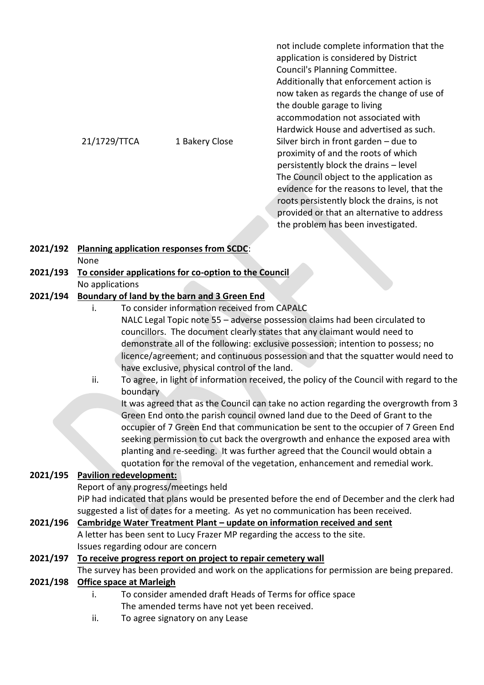not include complete information that the application is considered by District Council's Planning Committee. Additionally that enforcement action is now taken as regards the change of use of the double garage to living accommodation not associated with Hardwick House and advertised as such. 21/1729/TTCA 1 Bakery Close Silver birch in front garden – due to proximity of and the roots of which persistently block the drains – level The Council object to the application as evidence for the reasons to level, that the roots persistently block the drains, is not provided or that an alternative to address the problem has been investigated.

### **2021/192 Planning application responses from SCDC**: None

#### **2021/193 To consider applications for co-option to the Council** No applications

### **2021/194 Boundary of land by the barn and 3 Green End**

- i. To consider information received from CAPALC NALC Legal Topic note 55 – adverse possession claims had been circulated to councillors. The document clearly states that any claimant would need to demonstrate all of the following: exclusive possession; intention to possess; no licence/agreement; and continuous possession and that the squatter would need to have exclusive, physical control of the land.
- ii. To agree, in light of information received, the policy of the Council with regard to the boundary

It was agreed that as the Council can take no action regarding the overgrowth from 3 Green End onto the parish council owned land due to the Deed of Grant to the occupier of 7 Green End that communication be sent to the occupier of 7 Green End seeking permission to cut back the overgrowth and enhance the exposed area with planting and re-seeding. It was further agreed that the Council would obtain a quotation for the removal of the vegetation, enhancement and remedial work.

### **2021/195 Pavilion redevelopment:**

Report of any progress/meetings held

PiP had indicated that plans would be presented before the end of December and the clerk had suggested a list of dates for a meeting. As yet no communication has been received.

## **2021/196 Cambridge Water Treatment Plant – update on information received and sent**

A letter has been sent to Lucy Frazer MP regarding the access to the site. Issues regarding odour are concern

### **2021/197 To receive progress report on project to repair cemetery wall**

The survey has been provided and work on the applications for permission are being prepared.

### **2021/198 Office space at Marleigh**

- i. To consider amended draft Heads of Terms for office space The amended terms have not yet been received.
- ii. To agree signatory on any Lease